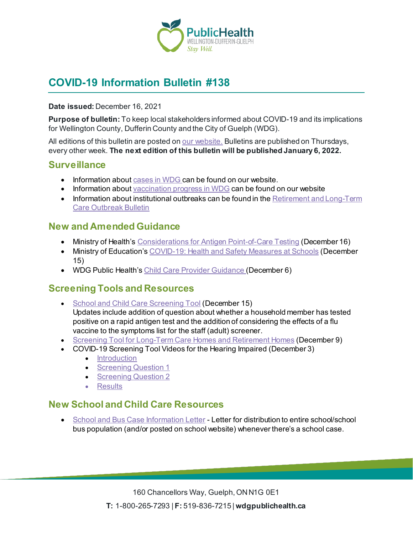

# **COVID-19 Information Bulletin #138**

#### **Date issued:** December 16, 2021

**Purpose of bulletin:** To keep local stakeholders informed about COVID-19 and its implications for Wellington County, Dufferin County and the City of Guelph (WDG).

All editions of this bulletin are posted on <u>our website.</u> Bulletins are published on Thursdays, every other week. **The next edition of this bulletin will be published January 6, 2022.**

### **Surveillance**

- Information about [cases in WDG](https://wdgpublichealth.ca/your-health/covid-19-information-public/status-cases-wdg) can be found on our website.
- Information abou[t vaccination progress](https://www.wdgpublichealth.ca/your-health/covid-19-information-public/covid-19-vaccine-information-public) in WDG can be found on our website
- Information about institutional outbreaks can be found in the Retirement and Long-Term [Care Outbreak Bulletin](https://wdgpublichealth.ca/node/1542)

### **New and Amended Guidance**

- Ministry of Health's [Considerations for Antigen Point-of-Care Testing](https://www.health.gov.on.ca/en/pro/programs/publichealth/coronavirus/docs/Antigen_Screening_Guidance_2021-03-5.pdf) (December 16)
- Ministry of Education'[s COVID-19: Health and Safety Measures at Schools](https://www.ontario.ca/page/covid-19-health-and-safety-measures-schools) (December 15)
- WDG Public Health's [Child Care Provider Guidance](https://wdgpublichealth.ca/sites/default/files/wdgph_covid-19_guidance_child_care-december_2021.pdf) (December 6)

### **Screening Tools and Resources**

• [School and Child Care Screening Tool](https://covid-19.ontario.ca/school-screening/) (December 15)

Updates include addition of question about whether a household member has tested positive on a rapid antigen test and the addition of considering the effects of a flu vaccine to the symptoms list for the staff (adult) screener.

- [Screening Tool for Long-Term Care Homes and Retirement Homes](https://www.health.gov.on.ca/en/pro/programs/publichealth/coronavirus/docs/2019_screening_guidance.pdf) (December 9)
- COVID-19 Screening Tool Videos for the Hearing Impaired (December 3)
	- [Introduction](https://youtu.be/UzeE3OU1ZGw)
	- [Screening Question 1](https://youtu.be/zagZV3Nkw5U)
	- [Screening Question 2](https://youtu.be/M5C05trkNJk)
	- [Results](https://youtu.be/1DhESo1ocAI)

### **New School and Child Care Resources**

• [S](https://wdgpublichealth.ca/sites/default/files/school-bus_case_information_sheet_letter.pdf)[chool and Bus Case Information Letter](https://wdgpublichealth.ca/sites/default/files/school_and_bus_case_information_letter.pdf) - Letter for distribution to entire school/school bus population (and/or posted on school website) whenever there's a school case.

> 160 Chancellors Way, Guelph, ON N1G 0E1 **T:** 1-800-265-7293 | **F:** 519-836-7215 | **wdgpublichealth.ca**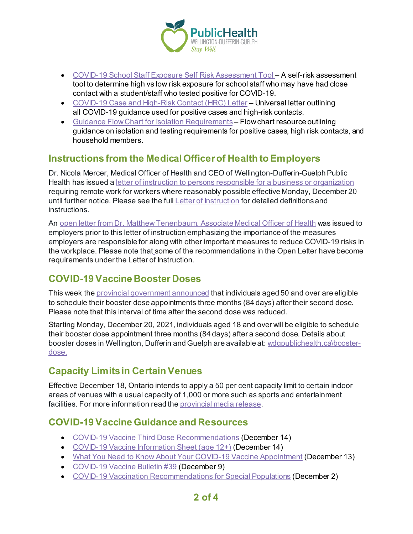

- [COVID-19 School Staff Exposure Self Risk Assessment Tool](https://wdgpublichealth.ca/sites/default/files/covid-19_school_staff_exposure_self_risk_assessment_tool.pdf) A self-risk assessment tool to determine high vs low risk exposure for school staff who may have had close contact with a student/staff who tested positive for COVID-19.
- [COVID-19 Case and High-Risk Contact \(HRC\) Letter](https://wdgpublichealth.ca/sites/default/files/case_and_high-risk_contact_letter.pdf) Universal letter outlining all COVID-19 guidance used for positive cases and high-risk contacts.
- [Guidance Flow Chart for Isolation Requirements](https://wdgpublichealth.ca/sites/default/files/guidance_flow_chart_for_cases_hrc_and_household.pdf) Flow chart resource outlining guidance on isolation and testing requirements for positive cases, high risk contacts, and household members.

## **Instructions from the Medical Officer of Health to Employers**

Dr. Nicola Mercer, Medical Officer of Health and CEO of Wellington-Dufferin-Guelph Public Health has issued [a letter of instruction to persons responsible for a business or organization](https://wdgpublichealth.ca/news/dr-nicola-mercer-medical-officer-health-and-ceo-wellington-dufferin-guelph-public-health-has-0) requiring remote work for workers where reasonably possible effective Monday, December 20 until further notice. Please see the full [Letter of Instruction](https://wdgpublichealth.ca/news/dr-nicola-mercer-medical-officer-health-and-ceo-wellington-dufferin-guelph-public-health-has-0) for detailed definitions and **instructions** 

An [open letter from Dr. Matthew Tenenbaum, Associate Medical Officer of Health](https://wdgpublichealth.ca/news/open-letter-dr-matthew-tenenbaum-associate-medical-officer-health-%E2%80%93-keeping-workplaces-safe) was issued to employers prior to this letter of instruction emphasizing the importance of the measures employers are responsible for along with other important measures to reduce COVID-19 risks in the workplace. Please note that some of the recommendations in the Open Letter have become requirements under the Letter of Instruction.

## **COVID-19 Vaccine Booster Doses**

This week the [provincial government announced](https://news.ontario.ca/en/release/1001352/all-ontarians-18-eligible-for-covid-19-booster-appointments-at-three-month-interval) that individuals aged 50 and over are eligible to schedule their booster dose appointments three months (84 days) after their second dose. Please note that this interval of time after the second dose was reduced.

Starting Monday, December 20, 2021, individuals aged 18 and over will be eligible to schedule their booster dose appointment three months (84 days) after a second dose. Details about booster doses in Wellington, Dufferin and Guelph are available at: [wdgpublichealth.ca\booster](https://wdgpublichealth.ca/your-health/covid-19-information-public/covid-19-vaccine-information/third-booster-doses)[dose.](https://wdgpublichealth.ca/your-health/covid-19-information-public/covid-19-vaccine-information/third-booster-doses)

## **Capacity Limits in Certain Venues**

Effective December 18, Ontario intends to apply a 50 per cent capacity limit to certain indoor areas of venues with a usual capacity of 1,000 or more such as sports and entertainment facilities. For more information read th[e provincial media release](https://news.ontario.ca/en/release/1001352/all-ontarians-18-eligible-for-covid-19-booster-appointments-at-three-month-interval).

## **COVID-19 Vaccine Guidance and Resources**

- [COVID-19 Vaccine Third Dose Recommendations](https://www.health.gov.on.ca/en/pro/programs/publichealth/coronavirus/docs/vaccine/COVID-19_vaccine_third_dose_recommendations.pdf) (December 14)
- [COVID-19 Vaccine Information Sheet \(age 12+\)](https://www.health.gov.on.ca/en/pro/programs/publichealth/coronavirus/docs/vaccine/COVID-19_vaccine_info_sheet.pdf) (December 14)
- [What You Need to Know About Your COVID-19 Vaccine Appointment](https://www.health.gov.on.ca/en/pro/programs/publichealth/coronavirus/docs/vaccine/COVID-19_know_about_your_vaccine_appt.pdf) (December 13)
- [COVID-19 Vaccine Bulletin #39](https://wdgpublichealth.ca/sites/default/files/wdgph_covid-19_vaccine_bulletin_39_dec_9_2021.pdf) (December 9)
- [COVID-19 Vaccination Recommendations for Special Populations](https://www.health.gov.on.ca/en/pro/programs/publichealth/coronavirus/docs/vaccine/COVID-19_vaccination_rec_special_populations.pdf) (December 2)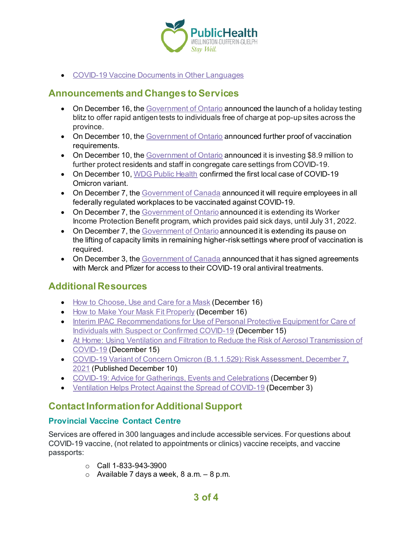

• [COVID-19 Vaccine Documents in Other Languages](https://www.health.gov.on.ca/en/pro/programs/publichealth/coronavirus/covid19_vaccine_languages.aspx)

## **Announcements and Changes to Services**

- On December 16, th[e Government of Ontario](https://news.ontario.ca/en/release/1001353/ontario-launching-holiday-pop-up-testing-blitz) announced the launch of a holiday testing blitz to offer rapid antigen tests to individuals free of charge at pop-up sites across the province.
- On December 10, th[e Government of Ontario](https://news.ontario.ca/en/release/1001327/ontario-taking-action-to-protect-against-omicron-variant) announced further proof of vaccination requirements.
- On December 10, th[e Government of Ontario](https://news.ontario.ca/en/release/1001315/ontario-investing-in-protections-for-residents-and-staff-in-congregate-care-settings) announced it is investing \$8.9 million to further protect residents and staff in congregate care settings from COVID-19.
- On December 10, [WDG Public Health](https://wdgpublichealth.ca/news/media-release-wdg-public-health-confirms-first-local-case-covid-19-omicron-variant) confirmed the first local case of COVID-19 Omicron variant.
- On December 7, the [Government of Canada](https://www.canada.ca/en/employment-social-development/news/2021/12/government-of-canada-will-require-employees-in-all-federally-regulated-workplaces-to-be-vaccinated-against-covid-19.html) announced it will require employees in all federally regulated workplaces to be vaccinated against COVID-19.
- On December 7, the [Government of Ontario](https://news.ontario.ca/en/release/1001296/ontario-extending-covid-19-paid-sick-days) announced it is extending its Worker Income Protection Benefit program, which provides paid sick days, until July 31, 2022.
- On December 7, the [Government of Ontario](https://news.ontario.ca/en/release/1001293/ontario-extending-pause-on-lifting-capacity-limits-in-remaining-settings-where-proof-of-vaccination-is-required) announced it is extending its pause on the lifting of capacity limits in remaining higher-risk settings where proof of vaccination is required.
- On December 3, the [Government of Canada](https://www.canada.ca/en/public-services-procurement/news/2021/12/government-of-canada-signs-agreements-for-covid-19-oral-antiviral-treatments.html) announced that it has signed agreements with Merck and Pfizer for access to their COVID-19 oral antiviral treatments.

## **Additional Resources**

- [How to Choose, Use and Care for a Mask](https://www.canada.ca/en/public-health/services/publications/diseases-conditions/covid-19-safely-use-non-medical-mask-face-covering.html) (December 16)
- [How to Make Your Mask Fit Properly](https://www.canada.ca/en/public-health/services/publications/diseases-conditions/covid-19-mask-fit-properly.html) (December 16)
- [Interim IPAC Recommendations for Use of Personal Protective Equipment for Care of](https://www.publichealthontario.ca/-/media/documents/ncov/updated-ipac-measures-covid-19.pdf?sc_lang=en&_cldee=ZGlhbmUuZHVya0B3ZGdwdWJsaWNoZWFsdGguY2E%3d&recipientid=contact-b54f85b8444be41180d400155d027703-3e2d53e1ae4744dabb71cfb24e84aabf&esid=9ffda0c9-7e5e-ec11-85e0-0050569e118f)  [Individuals with Suspect or Confirmed COVID-19](https://www.publichealthontario.ca/-/media/documents/ncov/updated-ipac-measures-covid-19.pdf?sc_lang=en&_cldee=ZGlhbmUuZHVya0B3ZGdwdWJsaWNoZWFsdGguY2E%3d&recipientid=contact-b54f85b8444be41180d400155d027703-3e2d53e1ae4744dabb71cfb24e84aabf&esid=9ffda0c9-7e5e-ec11-85e0-0050569e118f) (December 15)
- [At Home: Using Ventilation and Filtration to Reduce the Risk of Aerosol Transmission of](https://www.canada.ca/en/public-health/services/diseases/2019-novel-coronavirus-infection/guidance-documents/guide-home-ventilation-covid-19-pandemic.html) [COVID-19](https://www.canada.ca/en/public-health/services/diseases/2019-novel-coronavirus-infection/guidance-documents/guide-home-ventilation-covid-19-pandemic.html) (December 15)
- [COVID-19 Variant of Concern Omicron \(B.1.1.529\): Risk Assessment, December 7,](https://www.publichealthontario.ca/-/media/documents/ncov/voc/2021/12/covid-19-omicron-b11529-risk-assessment-dec-7.pdf?sc_lang=en)  [2021](https://www.publichealthontario.ca/-/media/documents/ncov/voc/2021/12/covid-19-omicron-b11529-risk-assessment-dec-7.pdf?sc_lang=en) (Published December 10)
- [COVID-19: Advice for Gatherings, Events and Celebrations](https://www.canada.ca/en/public-health/services/diseases/2019-novel-coronavirus-infection/prevention-risks/private-indoor-gatherings.html) (December 9)
- [Ventilation Helps Protect Against the Spread of COVID-19](https://www.canada.ca/en/public-health/services/publications/diseases-conditions/ventilation-helps-protect-against-spread-covid-19.html) (December 3)

## **Contact Information for Additional Support**

### **Provincial Vaccine Contact Centre**

Services are offered in 300 languages and include accessible services. For questions about COVID-19 vaccine, (not related to appointments or clinics) vaccine receipts, and vaccine passports:

- $\circ$  Call 1-833-943-3900
- $\circ$  Available 7 days a week, 8 a.m.  $-8$  p.m.